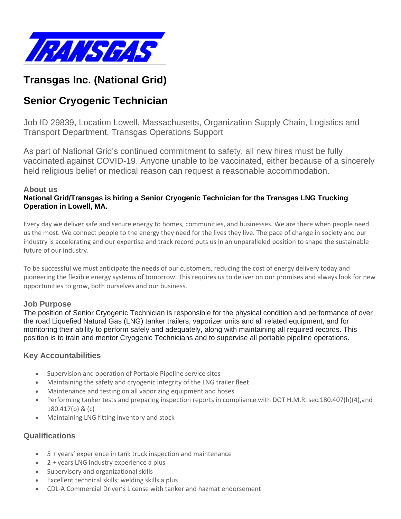

# **Transgas Inc. (National Grid)**

# **Senior Cryogenic Technician**

Job ID 29839, Location Lowell, Massachusetts, Organization Supply Chain, Logistics and Transport Department, Transgas Operations Support

As part of National Grid's continued commitment to safety, all new hires must be fully vaccinated against COVID-19. Anyone unable to be vaccinated, either because of a sincerely held religious belief or medical reason can request a reasonable accommodation.

#### **About us**

#### **National Grid/Transgas is hiring a Senior Cryogenic Technician for the Transgas LNG Trucking Operation in Lowell, MA.**

Every day we deliver safe and secure energy to homes, communities, and businesses. We are there when people need us the most. We connect people to the energy they need for the lives they live. The pace of change in society and our industry is accelerating and our expertise and track record puts us in an unparalleled position to shape the sustainable future of our industry.

To be successful we must anticipate the needs of our customers, reducing the cost of energy delivery today and pioneering the flexible energy systems of tomorrow. This requires us to deliver on our promises and always look for new opportunities to grow, both ourselves and our business.

#### **Job Purpose**

The position of Senior Cryogenic Technician is responsible for the physical condition and performance of over the road Liquefied Natural Gas (LNG) tanker trailers, vaporizer units and all related equipment, and for monitoring their ability to perform safely and adequately, along with maintaining all required records. This position is to train and mentor Cryogenic Technicians and to supervise all portable pipeline operations.

## **Key Accountabilities**

- Supervision and operation of Portable Pipeline service sites
- Maintaining the safety and cryogenic integrity of the LNG trailer fleet
- Maintenance and testing on all vaporizing equipment and hoses
- Performing tanker tests and preparing inspection reports in compliance with DOT H.M.R. sec.180.407(h)(4),and 180.417(b) & (c)
- Maintaining LNG fitting inventory and stock

## **Qualifications**

- 5 + years' experience in tank truck inspection and maintenance
- 2 + years LNG industry experience a plus
- Supervisory and organizational skills
- Excellent technical skills; welding skills a plus
- CDL-A Commercial Driver's License with tanker and hazmat endorsement